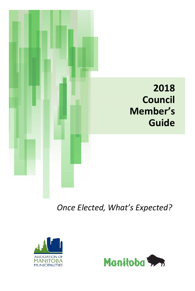

*Once Elected, What's Expected?*



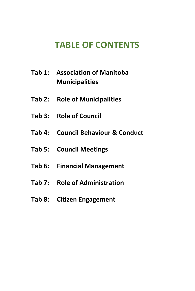# **TABLE OF CONTENTS**

- **Tab 1: Association of Manitoba Municipalities**
- **Tab 2: Role of Municipalities**
- **Tab 3: Role of Council**
- **Tab 4: Council Behaviour & Conduct**
- **Tab 5: Council Meetings**
- **Tab 6: Financial Management**
- **Tab 7: Role of Administration**
- **Tab 8: Citizen Engagement**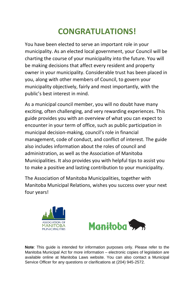# **CONGRATULATIONS!**

You have been elected to serve an important role in your municipality. As an elected local government, your Council will be charting the course of your municipality into the future. You will be making decisions that affect every resident and property owner in your municipality. Considerable trust has been placed in you, along with other members of Council, to govern your municipality objectively, fairly and most importantly, with the public's best interest in mind.

As a municipal council member, you will no doubt have many exciting, often challenging, and very rewarding experiences. This guide provides you with an overview of what you can expect to encounter in your term of office, such as public participation in municipal decision-making, council's role in financial management, code of conduct, and conflict of interest. The guide also includes information about the roles of council and administration, as well as the Association of Manitoba Municipalities. It also provides you with helpful tips to assist you to make a positive and lasting contribution to your municipality.

The Association of Manitoba Municipalities, together with Manitoba Municipal Relations, wishes you success over your next four years!





**Note**: This guide is intended for information purposes only. Please refer to the Manitoba Municipal Act for more information – electronic copies of legislation are available online at Manitoba Laws website. You can also contact a Municipal Service Officer for any questions or clarifications at (204) 945-2572.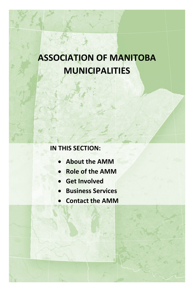# **ASSOCIATION OF MANITOBA MUNICIPALITIES**

# **IN THIS SECTION:**

- **About the AMM**
- **Role of the AMM**
- **Get Involved**
- **Business Services**
- **Contact the AMM**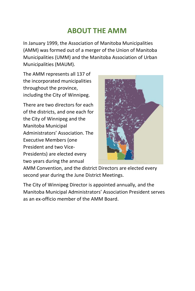# **ABOUT THE AMM**

In January 1999, the Association of Manitoba Municipalities (AMM) was formed out of a merger of the Union of Manitoba Municipalities (UMM) and the Manitoba Association of Urban Municipalities (MAUM).

The AMM represents all 137 of the incorporated municipalities throughout the province, including the City of Winnipeg.

There are two directors for each of the districts, and one each for the City of Winnipeg and the Manitoba Municipal Administrators' Association. The Executive Members (one President and two Vice-Presidents) are elected every two years during the annual



AMM Convention, and the district Directors are elected every second year during the June District Meetings.

The City of Winnipeg Director is appointed annually, and the Manitoba Municipal Administrators' Association President serves as an ex-officio member of the AMM Board.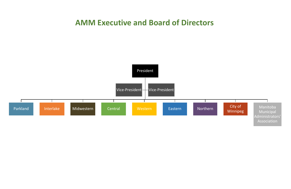# **AMM Executive and Board of Directors**

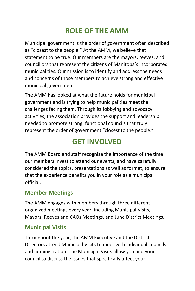# **ROLE OF THE AMM**

Municipal government is the order of government often described as "closest to the people." At the AMM, we believe that statement to be true. Our members are the mayors, reeves, and councillors that represent the citizens of Manitoba's incorporated municipalities. Our mission is to identify and address the needs and concerns of those members to achieve strong and effective municipal government.

The AMM has looked at what the future holds for municipal government and is trying to help municipalities meet the challenges facing them. Through its lobbying and advocacy activities, the association provides the support and leadership needed to promote strong, functional councils that truly represent the order of government "closest to the people."

# **GET INVOLVED**

The AMM Board and staff recognize the importance of the time our members invest to attend our events, and have carefully considered the topics, presentations as well as format, to ensure that the experience benefits you in your role as a municipal official.

### **Member Meetings**

The AMM engages with members through three different organized meetings every year, including Municipal Visits, Mayors, Reeves and CAOs Meetings, and June District Meetings.

### **Municipal Visits**

Throughout the year, the AMM Executive and the District Directors attend Municipal Visits to meet with individual councils and administration. The Municipal Visits allow you and your council to discuss the issues that specifically affect your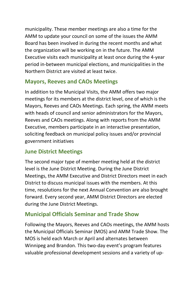municipality. These member meetings are also a time for the AMM to update your council on some of the issues the AMM Board has been involved in during the recent months and what the organization will be working on in the future. The AMM Executive visits each municipality at least once during the 4-year period in-between municipal elections, and municipalities in the Northern District are visited at least twice.

### **Mayors, Reeves and CAOs Meetings**

In addition to the Municipal Visits, the AMM offers two major meetings for its members at the district level, one of which is the Mayors, Reeves and CAOs Meetings. Each spring, the AMM meets with heads of council and senior administrators for the Mayors, Reeves and CAOs meetings. Along with reports from the AMM Executive, members participate in an interactive presentation, soliciting feedback on municipal policy issues and/or provincial government initiatives

### **June District Meetings**

The second major type of member meeting held at the district level is the June District Meeting. During the June District Meetings, the AMM Executive and District Directors meet in each District to discuss municipal issues with the members. At this time, resolutions for the next Annual Convention are also brought forward. Every second year, AMM District Directors are elected during the June District Meetings.

## **Municipal Officials Seminar and Trade Show**

Following the Mayors, Reeves and CAOs meetings, the AMM hosts the Municipal Officials Seminar (MOS) and AMM Trade Show. The MOS is held each March or April and alternates between Winnipeg and Brandon. This two-day event's program features valuable professional development sessions and a variety of up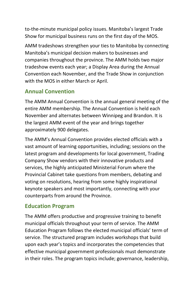to-the-minute municipal policy issues. Manitoba's largest Trade Show for municipal business runs on the first day of the MOS.

AMM tradeshows strengthen your ties to Manitoba by connecting Manitoba's municipal decision makers to businesses and companies throughout the province. The AMM holds two major tradeshow events each year; a Display Area during the Annual Convention each November, and the Trade Show in conjunction with the MOS in either March or April.

### **Annual Convention**

The AMM Annual Convention is the annual general meeting of the entire AMM membership. The Annual Convention is held each November and alternates between Winnipeg and Brandon. It is the largest AMM event of the year and brings together approximately 900 delegates.

The AMM's Annual Convention provides elected officials with a vast amount of learning opportunities, including; sessions on the latest program and developments for local government, Trading Company Show vendors with their innovative products and services, the highly anticipated Ministerial Forum where the Provincial Cabinet take questions from members, debating and voting on resolutions, hearing from some highly inspirational keynote speakers and most importantly, connecting with your counterparts from around the Province.

### **Education Program**

The AMM offers productive and progressive training to benefit municipal officials throughout your term of service. The AMM Education Program follows the elected municipal officials' term of service. The structured program includes workshops that build upon each year's topics and incorporates the competencies that effective municipal government professionals must demonstrate in their roles. The program topics include; governance, leadership,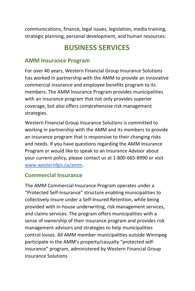communications, finance, legal issues, legislation, media training, strategic planning, personal development, and human resources.

# **BUSINESS SERVICES**

#### **AMM Insurance Program**

For over 40 years, Western Financial Group Insurance Solutions has worked in partnership with the AMM to provide an innovative commercial insurance and employee benefits program to its members. The AMM Insurance Program provides municipalities with an insurance program that not only provides superior coverage, but also offers comprehensive risk management strategies.

Western Financial Group Insurance Solutions is committed to working in partnership with the AMM and its members to provide an insurance program that is responsive to their changing risks and needs. If you have questions regarding the AMM Insurance Program or would like to speak to an Insurance Advisor about your current policy, please contact us at 1-800-665-8990 or visit www.westernfgis.ca/amm.

#### **Commercial Insurance**

The AMM Commercial Insurance Program operates under a "Protected Self-Insurance" structure enabling municipalities to collectively insure under a Self-Insured Retention, while being provided with in-house underwriting, risk management services, and claims services. The program offers municipalities with a sense of ownership of their insurance program and provides risk management advisors and strategies to help municipalities control losses. All AMM member municipalities outside Winnipeg participate in the AMM's property/casualty "protected selfinsurance" program, administered by Western Financial Group Insurance Solutions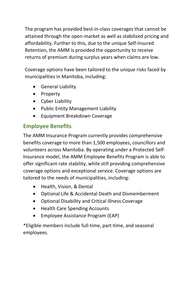The program has provided best-in-class coverages that cannot be attained through the open-market as well as stabilized pricing and affordability. Further to this, due to the unique Self-Insured Retention, the AMM is provided the opportunity to receive returns of premium during surplus years when claims are low.

Coverage options have been tailored to the unique risks faced by municipalities in Manitoba, including:

- General Liability
- Property
- Cyber Liability
- Public Entity Management Liability
- Equipment Breakdown Coverage

# **Employee Benefits**

The AMM Insurance Program currently provides comprehensive benefits coverage to more than 1,500 employees, councillors and volunteers across Manitoba. By operating under a Protected Self-Insurance model, the AMM Employee Benefits Program is able to offer significant rate stability, while still providing comprehensive coverage options and exceptional service. Coverage options are tailored to the needs of municipalities, including:

- Health, Vision, & Dental
- Optional Life & Accidental Death and Dismemberment
- Optional Disability and Critical Illness Coverage
- Health Care Spending Accounts
- Employee Assistance Program (EAP)

\*Eligible members include full-time, part-time, and seasonal employees.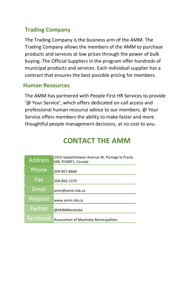### **Trading Company**

The Trading Company is the business arm of the AMM. The Trading Company allows the members of the AMM to purchase products and services at low prices through the power of bulk buying. The Official Suppliers in the program offer hundreds of municipal products and services. Each individual supplier has a contract that ensures the best possible pricing for members.

#### **Human Resources**

The AMM has partnered with People First HR Services to provide '@ Your Service', which offers dedicated on-call access and professional human resource advice to our members. @ Your Service offers members the ability to make faster and more thoughtful people management decisions, at no cost to you.

# **CONTACT THE AMM**

| <b>Address</b> | 1910 Saskatchewan Avenue W, Portage la Prarie,<br>MB, R1N0P1, Canada |
|----------------|----------------------------------------------------------------------|
| Phone          | 204-857-8666                                                         |
| Fax            | 204-856-2370                                                         |
| Email          | amm@amm.mb.ca                                                        |
| Website        | www.amm.mb.ca                                                        |
| Twitter        | @AMMManitoba                                                         |
| Facebook       | Association of Manitoba Municipalities                               |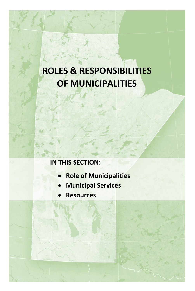# **ROLES & RESPONSIBILITIES OF MUNICIPALITIES**

# **IN THIS SECTION:**

- **Role of Municipalities**
- **Municipal Services**
- **Resources**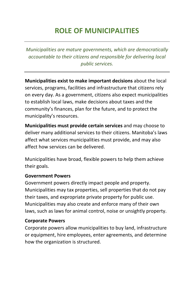# **ROLE OF MUNICIPALITIES**

*Municipalities are mature governments, which are democratically accountable to their citizens and responsible for delivering local public services.*

**Municipalities exist to make important decisions** about the local services, programs, facilities and infrastructure that citizens rely on every day. As a government, citizens also expect municipalities to establish local laws, make decisions about taxes and the community's finances, plan for the future, and to protect the municipality's resources.

**Municipalities must provide certain services** and may choose to deliver many additional services to their citizens. Manitoba's laws affect what services municipalities must provide, and may also affect how services can be delivered.

Municipalities have broad, flexible powers to help them achieve their goals.

#### **Government Powers**

Government powers directly impact people and property. Municipalities may tax properties, sell properties that do not pay their taxes, and expropriate private property for public use. Municipalities may also create and enforce many of their own laws, such as laws for animal control, noise or unsightly property.

#### **Corporate Powers**

Corporate powers allow municipalities to buy land, infrastructure or equipment, hire employees, enter agreements, and determine how the organization is structured.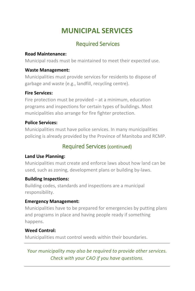# **MUNICIPAL SERVICES**

## Required Services

#### **Road Maintenance:**

Municipal roads must be maintained to meet their expected use.

#### **Waste Management:**

Municipalities must provide services for residents to dispose of garbage and waste (e.g., landfill, recycling centre).

#### **Fire Services:**

Fire protection must be provided  $-$  at a minimum, education programs and inspections for certain types of buildings. Most municipalities also arrange for fire fighter protection.

#### **Police Services:**

Municipalities must have police services. In many municipalities policing is already provided by the Province of Manitoba and RCMP.

## Required Services (continued)

#### **Land Use Planning:**

Municipalities must create and enforce laws about how land can be used, such as zoning, development plans or building by-laws.

#### **Building Inspections:**

Building codes, standards and inspections are a municipal responsibility.

#### **Emergency Management:**

Municipalities have to be prepared for emergencies by putting plans and programs in place and having people ready if something happens.

#### **Weed Control:**

Municipalities must control weeds within their boundaries.

*Your municipality may also be required to provide other services. Check with your CAO if you have questions.*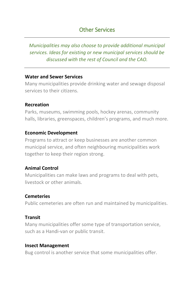### Other Services

*Municipalities may also choose to provide additional municipal services. Ideas for existing or new municipal services should be discussed with the rest of Council and the CAO.* 

#### **Water and Sewer Services**

Many municipalities provide drinking water and sewage disposal services to their citizens.

#### **Recreation**

Parks, museums, swimming pools, hockey arenas, community halls, libraries, greenspaces, children's programs, and much more.

#### **Economic Development**

Programs to attract or keep businesses are another common municipal service, and often neighbouring municipalities work together to keep their region strong.

#### **Animal Control**

Municipalities can make laws and programs to deal with pets, livestock or other animals.

#### **Cemeteries**

Public cemeteries are often run and maintained by municipalities.

#### **Transit**

Many municipalities offer some type of transportation service, such as a Handi-van or public transit.

#### **Insect Management**

Bug control is another service that some municipalities offer.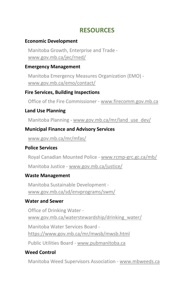## **RESOURCES**

#### **Economic Development**

Manitoba Growth, Enterprise and Trade [www.gov.mb.ca/jec/rned/](http://www.gov.mb.ca/jec/rned/)

#### **Emergency Management**

Manitoba Emergency Measures Organization (EMO) [www.gov.mb.ca/emo/contact/](http://www.gov.mb.ca/emo/contact/)

#### **Fire Services, Building Inspections**

Office of the Fire Commissioner - [www.firecomm.gov.mb.ca](http://www.firecomm.gov.mb.ca/)

#### **Land Use Planning**

Manitoba Planning - [www.gov.mb.ca/mr/land\\_use\\_dev/](http://www.gov.mb.ca/mr/land_use_dev/)

#### **Municipal Finance and Advisory Services**

[www.gov.mb.ca/mr/mfas/](http://www.gov.mb.ca/mr/mfas/)

#### **Police Services**

Royal Canadian Mounted Police - [www.rcmp-grc.gc.ca/mb/](http://www.rcmp-grc.gc.ca/mb/)

Manitoba Justice - [www.gov.mb.ca/justice/](http://www.gov.mb.ca/justice/)

#### **Waste Management**

Manitoba Sustainable Development [www.gov.mb.ca/sd/envprograms/swm/](http://www.gov.mb.ca/sd/envprograms/swm/)

#### **Water and Sewer**

Office of Drinking Water [www.gov.mb.ca/waterstewardship/drinking\\_water/](http://www.gov.mb.ca/waterstewardship/drinking_water/) Manitoba Water Services Board <https://www.gov.mb.ca/mr/mwsb/mwsb.html> Public Utilities Board - [www.pubmanitoba.ca](http://www.pubmanitoba.ca/)

#### **Weed Control**

Manitoba Weed Supervisors Association - [www.mbweeds.ca](http://www.mbweeds.ca/)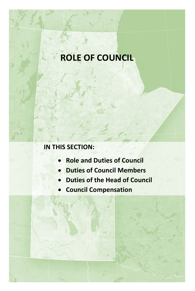# **ROLE OF COUNCIL**

# **IN THIS SECTION:**

- **Role and Duties of Council**
- **Duties of Council Members**
- **Duties of the Head of Council**
- **Council Compensation**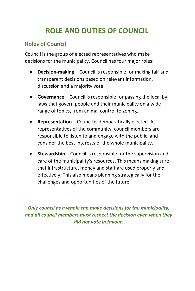# **ROLE AND DUTIES OF COUNCIL**

### **Roles of Council**

Council is the group of elected representatives who make decisions for the municipality. Council has four major roles:

- **Decision-making** Council is responsible for making fair and transparent decisions based on relevant information, discussion and a majority vote.
- **Governance** Council is responsible for passing the local bylaws that govern people and their municipality on a wide range of topics, from animal control to zoning.
- **Representation** Council is democratically elected. As representatives of the community, council members are responsible to listen to and engage with the public, and consider the best interests of the whole municipality.
- **Stewardship** Council is responsible for the supervision and care of the municipality's resources. This means making sure that infrastructure, money and staff are used properly and effectively. This also means planning strategically for the challenges and opportunities of the future.

*Only council as a whole can make decisions for the municipality, and all council members must respect the decision even when they did not vote in favour.*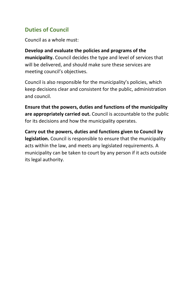### **Duties of Council**

Council as a whole must:

**Develop and evaluate the policies and programs of the municipality.** Council decides the type and level of services that will be delivered, and should make sure these services are meeting council's objectives.

Council is also responsible for the municipality's policies, which keep decisions clear and consistent for the public, administration and council.

**Ensure that the powers, duties and functions of the municipality are appropriately carried out.** Council is accountable to the public for its decisions and how the municipality operates.

**Carry out the powers, duties and functions given to Council by legislation.** Council is responsible to ensure that the municipality acts within the law, and meets any legislated requirements. A municipality can be taken to court by any person if it acts outside its legal authority.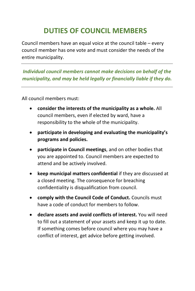# **DUTIES OF COUNCIL MEMBERS**

Council members have an equal voice at the council table – every council member has one vote and must consider the needs of the entire municipality.

*Individual council members cannot make decisions on behalf of the municipality, and may be held legally or financially liable if they do.*

All council members must:

- **consider the interests of the municipality as a whole.** All council members, even if elected by ward, have a responsibility to the whole of the municipality.
- **participate in developing and evaluating the municipality's programs and policies.**
- **participate in Council meetings**, and on other bodies that you are appointed to. Council members are expected to attend and be actively involved.
- **keep municipal matters confidential** if they are discussed at a closed meeting. The consequence for breaching confidentiality is disqualification from council.
- **comply with the Council Code of Conduct.** Councils must have a code of conduct for members to follow.
- **declare assets and avoid conflicts of interest.** You will need to fill out a statement of your assets and keep it up to date. If something comes before council where you may have a conflict of interest, get advice before getting involved.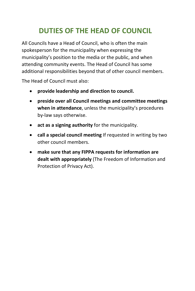# **DUTIES OF THE HEAD OF COUNCIL**

All Councils have a Head of Council, who is often the main spokesperson for the municipality when expressing the municipality's position to the media or the public, and when attending community events. The Head of Council has some additional responsibilities beyond that of other council members.

The Head of Council must also:

- **provide leadership and direction to council.**
- **preside over all Council meetings and committee meetings when in attendance**, unless the municipality's procedures by-law says otherwise.
- **act as a signing authority** for the municipality.
- **call a special council meeting** If requested in writing by two other council members.
- **make sure that any FIPPA requests for information are dealt with appropriately** (The Freedom of Information and Protection of Privacy Act).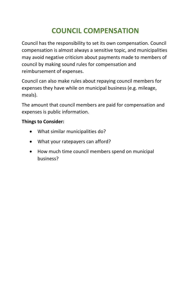# **COUNCIL COMPENSATION**

Council has the responsibility to set its own compensation. Council compensation is almost always a sensitive topic, and municipalities may avoid negative criticism about payments made to members of council by making sound rules for compensation and reimbursement of expenses.

Council can also make rules about repaying council members for expenses they have while on municipal business (e.g. mileage, meals).

The amount that council members are paid for compensation and expenses is public information.

#### **Things to Consider:**

- What similar municipalities do?
- What your ratepayers can afford?
- How much time council members spend on municipal business?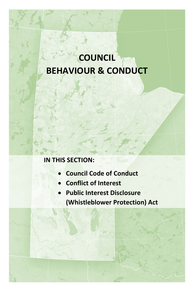# **COUNCIL BEHAVIOUR & CONDUCT**

## **IN THIS SECTION:**

- **Council Code of Conduct**
- **Conflict of Interest**
- **Public Interest Disclosure (Whistleblower Protection) Act**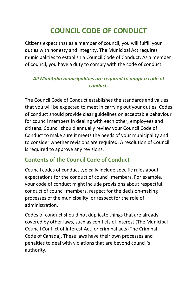# **COUNCIL CODE OF CONDUCT**

Citizens expect that as a member of council, you will fulfill your duties with honesty and integrity. The Municipal Act requires municipalities to establish a Council Code of Conduct. As a member of council, you have a duty to comply with the code of conduct.

#### *All Manitoba municipalities are required to adopt a code of conduct.*

The Council Code of Conduct establishes the standards and values that you will be expected to meet in carrying out your duties. Codes of conduct should provide clear guidelines on acceptable behaviour for council members in dealing with each other, employees and citizens. Council should annually review your Council Code of Conduct to make sure it meets the needs of your municipality and to consider whether revisions are required. A resolution of Council is required to approve any revisions.

### **Contents of the Council Code of Conduct**

Council codes of conduct typically include specific rules about expectations for the conduct of council members. For example, your code of conduct might include provisions about respectful conduct of council members, respect for the decision-making processes of the municipality, or respect for the role of administration.

Codes of conduct should not duplicate things that are already covered by other laws, such as conflicts of interest (The Municipal Council Conflict of Interest Act) or criminal acts (The Criminal Code of Canada). These laws have their own processes and penalties to deal with violations that are beyond council's authority.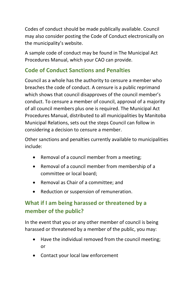Codes of conduct should be made publically available. Council may also consider posting the Code of Conduct electronically on the municipality's website.

A sample code of conduct may be found in The Municipal Act Procedures Manual, which your CAO can provide.

### **Code of Conduct Sanctions and Penalties**

Council as a whole has the authority to censure a member who breaches the code of conduct. A censure is a public reprimand which shows that council disapproves of the council member's conduct. To censure a member of council, approval of a majority of all council members plus one is required. The Municipal Act Procedures Manual, distributed to all municipalities by Manitoba Municipal Relations, sets out the steps Council can follow in considering a decision to censure a member.

Other sanctions and penalties currently available to municipalities include:

- Removal of a council member from a meeting;
- Removal of a council member from membership of a committee or local board;
- Removal as Chair of a committee; and
- Reduction or suspension of remuneration.

# **What if I am being harassed or threatened by a member of the public?**

In the event that you or any other member of council is being harassed or threatened by a member of the public, you may:

- Have the individual removed from the council meeting; or
- Contact your local law enforcement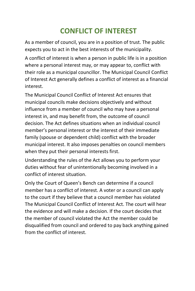# **CONFLICT OF INTEREST**

As a member of council, you are in a position of trust. The public expects you to act in the best interests of the municipality.

A conflict of interest is when a person in public life is in a position where a personal interest may, or may appear to, conflict with their role as a municipal councillor. The Municipal Council Conflict of Interest Act generally defines a conflict of interest as a financial interest.

The Municipal Council Conflict of Interest Act ensures that municipal councils make decisions objectively and without influence from a member of council who may have a personal interest in, and may benefit from, the outcome of council decision. The Act defines situations when an individual council member's personal interest or the interest of their immediate family (spouse or dependent child) conflict with the broader municipal interest. It also imposes penalties on council members when they put their personal interests first.

Understanding the rules of the Act allows you to perform your duties without fear of unintentionally becoming involved in a conflict of interest situation.

Only the Court of Queen's Bench can determine if a council member has a conflict of interest. A voter or a council can apply to the court if they believe that a council member has violated The Municipal Council Conflict of Interest Act. The court will hear the evidence and will make a decision. If the court decides that the member of council violated the Act the member could be disqualified from council and ordered to pay back anything gained from the conflict of interest.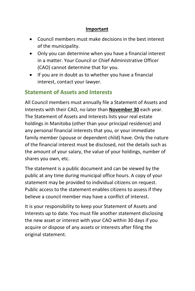#### **Important**

- Council members must make decisions in the best interest of the municipality.
- Only you can determine when you have a financial interest in a matter. Your Council or Chief Administrative Officer (CAO) cannot determine that for you.
- If you are in doubt as to whether you have a financial interest, contact your lawyer.

## **Statement of Assets and Interests**

All Council members must annually file a Statement of Assets and Interests with their CAO, no later than **November 30** each year. The Statement of Assets and Interests lists your real estate holdings in Manitoba (other than your principal residence) and any personal financial interests that you, or your immediate family member (spouse or dependent child) have. Only the nature of the financial interest must be disclosed, not the details such as the amount of your salary, the value of your holdings, number of shares you own, etc.

The statement is a public document and can be viewed by the public at any time during municipal office hours. A copy of your statement may be provided to individual citizens on request. Public access to the statement enables citizens to assess if they believe a council member may have a conflict of interest.

It is your responsibility to keep your Statement of Assets and Interests up to date. You must file another statement disclosing the new asset or interest with your CAO within 30 days if you acquire or dispose of any assets or interests after filing the original statement.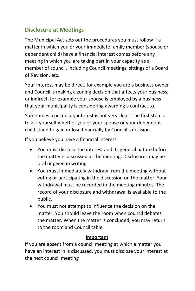#### **Disclosure at Meetings**

The Municipal Act sets out the procedures you must follow if a matter in which you or your immediate family member (spouse or dependent child) have a financial interest comes before any meeting in which you are taking part in your capacity as a member of council, including Council meetings, sittings of a Board of Revision, etc.

Your interest may be direct, for example you are a business owner and Council is making a zoning decision that affects your business, or indirect, for example your spouse is employed by a business that your municipality is considering awarding a contract to.

Sometimes a pecuniary interest is not very clear. The first step is to ask yourself whether you or your spouse or your dependent child stand to gain or lose financially by Council's decision.

If you believe you have a financial interest:

- You must disclose the interest and its general nature before the matter is discussed at the meeting. Disclosures may be oral or given in writing.
- You must immediately withdraw from the meeting without voting or participating in the discussion on the matter. Your withdrawal must be recorded in the meeting minutes. The record of your disclosure and withdrawal is available to the public.
- You must not attempt to influence the decision on the matter. You should leave the room when council debates the matter. When the matter is concluded, you may return to the room and Council table.

#### **Important**

If you are absent from a council meeting at which a matter you have an interest in is discussed, you must disclose your interest at the next council meeting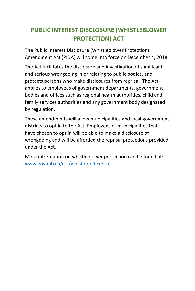### **PUBLIC INTEREST DISCLOSURE (WHISTLEBLOWER PROTECTION) ACT**

The Public Interest Disclosure (Whistleblower Protection) Amendment Act (PIDA) will come into force on December 4, 2018.

The Act facilitates the disclosure and investigation of significant and serious wrongdoing in or relating to public bodies, and protects persons who make disclosures from reprisal. The Act applies to employees of government departments, government bodies and offices such as regional health authorities, child and family services authorities and any government body designated by regulation.

These amendments will allow municipalities and local government districts to opt in to the Act. Employees of municipalities that have chosen to opt in will be able to make a disclosure of wrongdoing and will be afforded the reprisal protections provided under the Act.

More information on whistleblower protection can be found at: [www.gov.mb.ca/csc/whistle/index.html](http://www.gov.mb.ca/csc/whistle/index.html)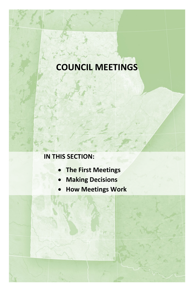# **COUNCIL MEETINGS**

### **IN THIS SECTION:**

- **The First Meetings**
- **Making Decisions**
- **How Meetings Work**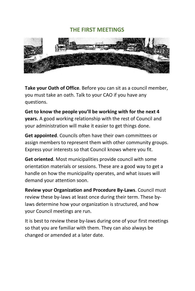#### **THE FIRST MEETINGS**



**Take your Oath of Office**. Before you can sit as a council member, you must take an oath. Talk to your CAO if you have any questions.

**Get to know the people you'll be working with for the next 4 years.** A good working relationship with the rest of Council and your administration will make it easier to get things done.

**Get appointed**. Councils often have their own committees or assign members to represent them with other community groups. Express your interests so that Council knows where you fit.

**Get oriented**. Most municipalities provide council with some orientation materials or sessions. These are a good way to get a handle on how the municipality operates, and what issues will demand your attention soon.

**Review your Organization and Procedure By-Laws**. Council must review these by-laws at least once during their term. These bylaws determine how your organization is structured, and how your Council meetings are run.

It is best to review these by-laws during one of your first meetings so that you are familiar with them. They can also always be changed or amended at a later date.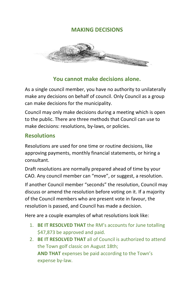#### **MAKING DECISIONS**



#### **You cannot make decisions alone.**

As a single council member, you have no authority to unilaterally make any decisions on behalf of council. Only Council as a group can make decisions for the municipality.

Council may only make decisions during a meeting which is open to the public. There are three methods that Council can use to make decisions: resolutions, by-laws, or policies.

#### **Resolutions**

Resolutions are used for one time or routine decisions, like approving payments, monthly financial statements, or hiring a consultant.

Draft resolutions are normally prepared ahead of time by your CAO. Any council member can "move", or suggest, a resolution.

If another Council member "seconds" the resolution, Council may discuss or amend the resolution before voting on it. If a majority of the Council members who are present vote in favour, the resolution is passed, and Council has made a decision.

Here are a couple examples of what resolutions look like:

- 1. **BE IT RESOLVED THAT** the RM's accounts for June totalling \$47,873 be approved and paid.
- 2. **BE IT RESOLVED THAT** all of Council is authorized to attend the Town golf classic on August 18th; **AND THAT** expenses be paid according to the Town's expense by-law.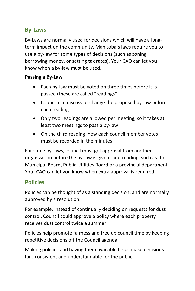#### **By-Laws**

By-Laws are normally used for decisions which will have a longterm impact on the community. Manitoba's laws require you to use a by-law for some types of decisions (such as zoning, borrowing money, or setting tax rates). Your CAO can let you know when a by-law must be used.

#### **Passing a By-Law**

- Each by-law must be voted on three times before it is passed (these are called "readings")
- Council can discuss or change the proposed by-law before each reading
- Only two readings are allowed per meeting, so it takes at least two meetings to pass a by-law
- On the third reading, how each council member votes must be recorded in the minutes

For some by-laws, council must get approval from another organization before the by-law is given third reading, such as the Municipal Board, Public Utilities Board or a provincial department. Your CAO can let you know when extra approval is required.

#### **Policies**

Policies can be thought of as a standing decision, and are normally approved by a resolution.

For example, instead of continually deciding on requests for dust control, Council could approve a policy where each property receives dust control twice a summer.

Policies help promote fairness and free up council time by keeping repetitive decisions off the Council agenda.

Making policies and having them available helps make decisions fair, consistent and understandable for the public.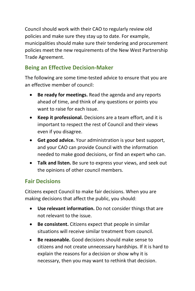Council should work with their CAO to regularly review old policies and make sure they stay up to date. For example, municipalities should make sure their tendering and procurement policies meet the new requirements of the New West Partnership Trade Agreement.

#### **Being an Effective Decision-Maker**

The following are some time-tested advice to ensure that you are an effective member of council:

- **Be ready for meetings.** Read the agenda and any reports ahead of time, and think of any questions or points you want to raise for each issue.
- **Keep it professional.** Decisions are a team effort, and it is important to respect the rest of Council and their views even if you disagree.
- **Get good advice.** Your administration is your best support, and your CAO can provide Council with the information needed to make good decisions, or find an expert who can.
- **Talk and listen.** Be sure to express your views, and seek out the opinions of other council members.

#### **Fair Decisions**

Citizens expect Council to make fair decisions. When you are making decisions that affect the public, you should:

- **Use relevant information.** Do not consider things that are not relevant to the issue.
- **Be consistent.** Citizens expect that people in similar situations will receive similar treatment from council.
- **Be reasonable.** Good decisions should make sense to citizens and not create unnecessary hardships. If it is hard to explain the reasons for a decision or show why it is necessary, then you may want to rethink that decision.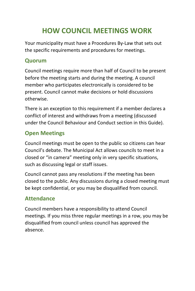# **HOW COUNCIL MEETINGS WORK**

Your municipality must have a Procedures By-Law that sets out the specific requirements and procedures for meetings.

#### **Quorum**

Council meetings require more than half of Council to be present before the meeting starts and during the meeting. A council member who participates electronically is considered to be present. Council cannot make decisions or hold discussions otherwise.

There is an exception to this requirement if a member declares a conflict of interest and withdraws from a meeting (discussed under the Council Behaviour and Conduct section in this Guide).

### **Open Meetings**

Council meetings must be open to the public so citizens can hear Council's debate. The Municipal Act allows councils to meet in a closed or "in camera" meeting only in very specific situations, such as discussing legal or staff issues.

Council cannot pass any resolutions if the meeting has been closed to the public. Any discussions during a closed meeting must be kept confidential, or you may be disqualified from council.

### **Attendance**

Council members have a responsibility to attend Council meetings. If you miss three regular meetings in a row, you may be disqualified from council unless council has approved the absence.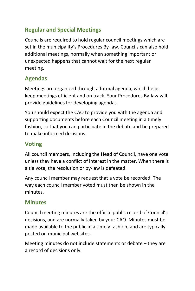#### **Regular and Special Meetings**

Councils are required to hold regular council meetings which are set in the municipality's Procedures By-law. Councils can also hold additional meetings, normally when something important or unexpected happens that cannot wait for the next regular meeting.

### **Agendas**

Meetings are organized through a formal agenda, which helps keep meetings efficient and on track. Your Procedures By-law will provide guidelines for developing agendas.

You should expect the CAO to provide you with the agenda and supporting documents before each Council meeting in a timely fashion, so that you can participate in the debate and be prepared to make informed decisions.

### **Voting**

All council members, including the Head of Council, have one vote unless they have a conflict of interest in the matter. When there is a tie vote, the resolution or by-law is defeated.

Any council member may request that a vote be recorded. The way each council member voted must then be shown in the minutes.

#### **Minutes**

Council meeting minutes are the official public record of Council's decisions, and are normally taken by your CAO. Minutes must be made available to the public in a timely fashion, and are typically posted on municipal websites.

Meeting minutes do not include statements or debate – they are a record of decisions only.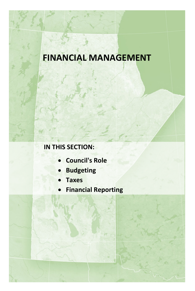# **FINANCIAL MANAGEMENT**

### **IN THIS SECTION:**

- **Council's Role**
- **Budgeting**
- **Taxes**
- **Financial Reporting**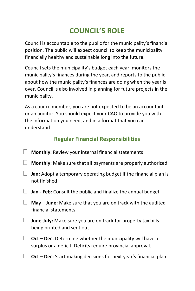# **COUNCIL'S ROLE**

Council is accountable to the public for the municipality's financial position. The public will expect council to keep the municipality financially healthy and sustainable long into the future.

Council sets the municipality's budget each year, monitors the municipality's finances during the year, and reports to the public about how the municipality's finances are doing when the year is over. Council is also involved in planning for future projects in the municipality.

As a council member, you are not expected to be an accountant or an auditor. You should expect your CAO to provide you with the information you need, and in a format that you can understand.

### **Regular Financial Responsibilities**

- **Monthly:** Review your internal financial statements
- **Monthly:** Make sure that all payments are properly authorized
- **Jan:** Adopt a temporary operating budget if the financial plan is not finished
- **Jan - Feb:** Consult the public and finalize the annual budget
- **May – June:** Make sure that you are on track with the audited financial statements
- **June-July:** Make sure you are on track for property tax bills being printed and sent out
- **Oct – Dec:** Determine whether the municipality will have a surplus or a deficit. Deficits require provincial approval.
- **Oct – Dec:** Start making decisions for next year's financial plan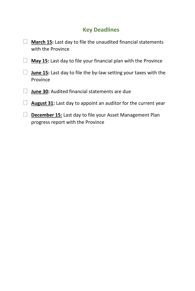## **Key Deadlines**

| <b>March 15:</b> Last day to file the unaudited financial statements<br>with the Province            |
|------------------------------------------------------------------------------------------------------|
| <b>May 15:</b> Last day to file your financial plan with the Province                                |
| <b>June 15:</b> Last day to file the by-law setting your taxes with the<br>Province                  |
| <b>June 30:</b> Audited financial statements are due                                                 |
| <b>August 31:</b> Last day to appoint an auditor for the current year                                |
| <b>December 15: Last day to file your Asset Management Plan</b><br>progress report with the Province |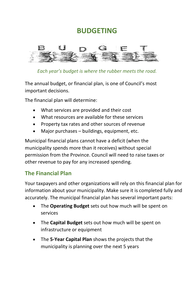## **BUDGETING**



*Each year's budget is where the rubber meets the road.*

The annual budget, or financial plan, is one of Council's most important decisions.

The financial plan will determine:

- What services are provided and their cost
- What resources are available for these services
- Property tax rates and other sources of revenue
- Major purchases buildings, equipment, etc.

Municipal financial plans cannot have a deficit (when the municipality spends more than it receives) without special permission from the Province. Council will need to raise taxes or other revenue to pay for any increased spending.

#### **The Financial Plan**

Your taxpayers and other organizations will rely on this financial plan for information about your municipality. Make sure it is completed fully and accurately. The municipal financial plan has several important parts:

- The **Operating Budget** sets out how much will be spent on services
- The **Capital Budget** sets out how much will be spent on infrastructure or equipment
- The **5-Year Capital Plan** shows the projects that the municipality is planning over the next 5 years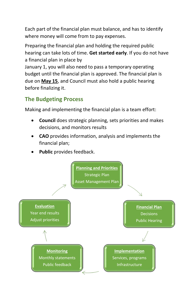Each part of the financial plan must balance, and has to identify where money will come from to pay expenses.

Preparing the financial plan and holding the required public hearing can take lots of time. **Get started early**. If you do not have a financial plan in place by

January 1, you will also need to pass a temporary operating budget until the financial plan is approved. The financial plan is due on **May 15**, and Council must also hold a public hearing before finalizing it.

### **The Budgeting Process**

Making and implementing the financial plan is a team effort:

- **Council** does strategic planning, sets priorities and makes decisions, and monitors results
- **CAO** provides information, analysis and implements the financial plan;
- Public provides feedback.

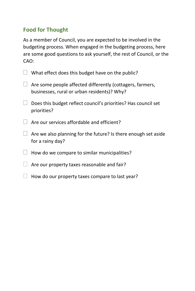### **Food for Thought**

As a member of Council, you are expected to be involved in the budgeting process. When engaged in the budgeting process, here are some good questions to ask yourself, the rest of Council, or the CAO:

| $\Box$ What effect does this budget have on the public? |  |
|---------------------------------------------------------|--|
|---------------------------------------------------------|--|

- $\Box$  Are some people affected differently (cottagers, farmers, businesses, rural or urban residents)? Why?
- $\Box$  Does this budget reflect council's priorities? Has council set priorities?
- $\Box$  Are our services affordable and efficient?
- $\Box$  Are we also planning for the future? Is there enough set aside for a rainy day?
- $\Box$  How do we compare to similar municipalities?
- $\Box$  Are our property taxes reasonable and fair?
- $\Box$  How do our property taxes compare to last year?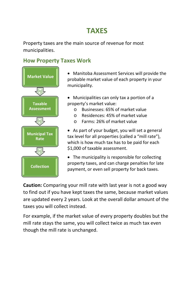# **TAXES**

Property taxes are the main source of revenue for most municipalities.

#### **How Property Taxes Work**



• Manitoba Assessment Services will provide the probable market value of each property in your municipality.

- Municipalities can only tax a portion of a property's market value:
	- o Businesses: 65% of market value
	- o Residences: 45% of market value
	- o Farms: 26% of market value

• As part of your budget, you will set a general tax level for all properties (called a "mill rate"), which is how much tax has to be paid for each \$1,000 of taxable assessment.

• The municipality is responsible for collecting property taxes, and can charge penalties for late payment, or even sell property for back taxes.

**Caution:** Comparing your mill rate with last year is not a good way to find out if you have kept taxes the same, because market values are updated every 2 years. Look at the overall dollar amount of the taxes you will collect instead.

For example, if the market value of every property doubles but the mill rate stays the same, you will collect twice as much tax even though the mill rate is unchanged.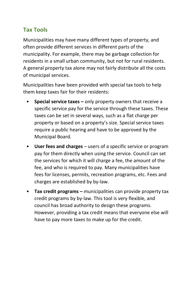#### **Tax Tools**

Municipalities may have many different types of property, and often provide different services in different parts of the municipality. For example, there may be garbage collection for residents in a small urban community, but not for rural residents. A general property tax alone may not fairly distribute all the costs of municipal services.

Municipalities have been provided with special tax tools to help them keep taxes fair for their residents:

- **Special service taxes –** only property owners that receive a specific service pay for the service through these taxes. These taxes can be set in several ways, such as a flat charge per property or based on a property's size. Special service taxes require a public hearing and have to be approved by the Municipal Board.
- **User fees and charges**  users of a specific service or program pay for them directly when using the service. Council can set the services for which it will charge a fee, the amount of the fee, and who is required to pay. Many municipalities have fees for licenses, permits, recreation programs, etc. Fees and charges are established by by-law.
- **Tax credit programs –** municipalities can provide property tax credit programs by by-law. This tool is very flexible, and council has broad authority to design these programs. However, providing a tax credit means that everyone else will have to pay more taxes to make up for the credit.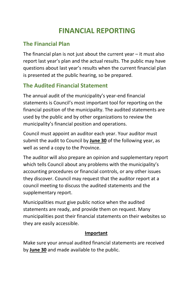# **FINANCIAL REPORTING**

### **The Financial Plan**

The financial plan is not just about the current year  $-$  it must also report last year's plan and the actual results. The public may have questions about last year's results when the current financial plan is presented at the public hearing, so be prepared.

### **The Audited Financial Statement**

The annual audit of the municipality's year-end financial statements is Council's most important tool for reporting on the financial position of the municipality. The audited statements are used by the public and by other organizations to review the municipality's financial position and operations.

Council must appoint an auditor each year. Your auditor must submit the audit to Council by **June 30** of the following year, as well as send a copy to the Province.

The auditor will also prepare an opinion and supplementary report which tells Council about any problems with the municipality's accounting procedures or financial controls, or any other issues they discover. Council may request that the auditor report at a council meeting to discuss the audited statements and the supplementary report.

Municipalities must give public notice when the audited statements are ready, and provide them on request. Many municipalities post their financial statements on their websites so they are easily accessible.

#### **Important**

Make sure your annual audited financial statements are received by **June 30** and made available to the public.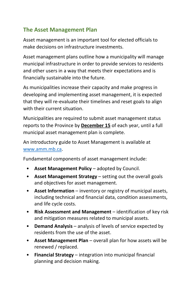#### **The Asset Management Plan**

Asset management is an important tool for elected officials to make decisions on infrastructure investments.

Asset management plans outline how a municipality will manage municipal infrastructure in order to provide services to residents and other users in a way that meets their expectations and is financially sustainable into the future.

As municipalities increase their capacity and make progress in developing and implementing asset management, it is expected that they will re-evaluate their timelines and reset goals to align with their current situation.

Municipalities are required to submit asset management status reports to the Province by **December 15** of each year, until a full municipal asset management plan is complete.

An introductory guide to Asset Management is available at [www.amm.mb.ca.](http://www.amm.mb.ca/)

Fundamental components of asset management include:

- **Asset Management Policy** adopted by Council.
- **Asset Management Strategy** setting out the overall goals and objectives for asset management.
- **Asset Information** inventory or registry of municipal assets, including technical and financial data, condition assessments, and life cycle costs.
- **Risk Assessment and Management** identification of key risk and mitigation measures related to municipal assets.
- **Demand Analysis** analysis of levels of service expected by residents from the use of the asset.
- **Asset Management Plan** overall plan for how assets will be renewed / replaced.
- **Financial Strategy** integration into municipal financial planning and decision making.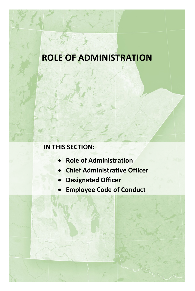# **ROLE OF ADMINISTRATION**

### **IN THIS SECTION:**

- **Role of Administration**
- **Chief Administrative Officer**
- **Designated Officer**
- **Employee Code of Conduct**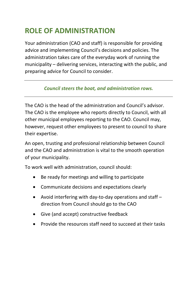# **ROLE OF ADMINISTRATION**

Your administration (CAO and staff) is responsible for providing advice and implementing Council's decisions and policies. The administration takes care of the everyday work of running the municipality – delivering services, interacting with the public, and preparing advice for Council to consider.

#### *Council steers the boat, and administration rows.*

The CAO is the head of the administration and Council's advisor. The CAO is the employee who reports directly to Council, with all other municipal employees reporting to the CAO. Council may, however, request other employees to present to council to share their expertise.

An open, trusting and professional relationship between Council and the CAO and administration is vital to the smooth operation of your municipality.

To work well with administration, council should:

- Be ready for meetings and willing to participate
- Communicate decisions and expectations clearly
- Avoid interfering with day-to-day operations and staff direction from Council should go to the CAO
- Give (and accept) constructive feedback
- Provide the resources staff need to succeed at their tasks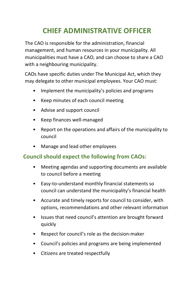# **CHIEF ADMINISTRATIVE OFFICER**

The CAO is responsible for the administration, financial management, and human resources in your municipality. All municipalities must have a CAO, and can choose to share a CAO with a neighbouring municipality.

CAOs have specific duties under The Municipal Act, which they may delegate to other municipal employees. Your CAO must:

- Implement the municipality's policies and programs
- Keep minutes of each council meeting
- Advise and support council
- Keep finances well-managed
- Report on the operations and affairs of the municipality to council
- Manage and lead other employees

### **Council should expect the following from CAOs:**

- Meeting agendas and supporting documents are available to council before a meeting
- Easy-to-understand monthly financial statements so council can understand the municipality's financial health
- Accurate and timely reports for council to consider, with options, recommendations and other relevant information
- Issues that need council's attention are brought forward quickly
- Respect for council's role as the decision-maker
- Council's policies and programs are being implemented
- Citizens are treated respectfully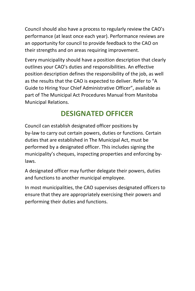Council should also have a process to regularly review the CAO's performance (at least once each year). Performance reviews are an opportunity for council to provide feedback to the CAO on their strengths and on areas requiring improvement.

Every municipality should have a position description that clearly outlines your CAO's duties and responsibilities. An effective position description defines the responsibility of the job, as well as the results that the CAO is expected to deliver. Refer to "A Guide to Hiring Your Chief Administrative Officer", available as part of The Municipal Act Procedures Manual from Manitoba Municipal Relations.

# **DESIGNATED OFFICER**

Council can establish designated officer positions by by-law to carry out certain powers, duties or functions. Certain duties that are established in The Municipal Act, must be performed by a designated officer. This includes signing the municipality's cheques, inspecting properties and enforcing bylaws.

A designated officer may further delegate their powers, duties and functions to another municipal employee.

In most municipalities, the CAO supervises designated officers to ensure that they are appropriately exercising their powers and performing their duties and functions.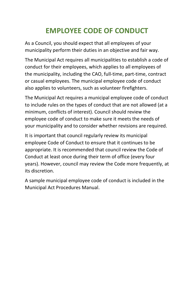# **EMPLOYEE CODE OF CONDUCT**

As a Council, you should expect that all employees of your municipality perform their duties in an objective and fair way.

The Municipal Act requires all municipalities to establish a code of conduct for their employees, which applies to all employees of the municipality, including the CAO, full-time, part-time, contract or casual employees. The municipal employee code of conduct also applies to volunteers, such as volunteer firefighters.

The Municipal Act requires a municipal employee code of conduct to include rules on the types of conduct that are not allowed (at a minimum, conflicts of interest). Council should review the employee code of conduct to make sure it meets the needs of your municipality and to consider whether revisions are required.

It is important that council regularly review its municipal employee Code of Conduct to ensure that it continues to be appropriate. It is recommended that council review the Code of Conduct at least once during their term of office (every four years). However, council may review the Code more frequently, at its discretion.

A sample municipal employee code of conduct is included in the Municipal Act Procedures Manual.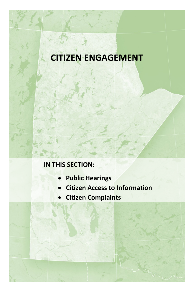# **CITIZEN ENGAGEMENT**

## **IN THIS SECTION:**

- **Public Hearings**
- **Citizen Access to Information**
- **Citizen Complaints**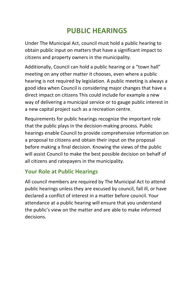# **PUBLIC HEARINGS**

Under The Municipal Act, council must hold a public hearing to obtain public input on matters that have a significant impact to citizens and property owners in the municipality.

Additionally, Council can hold a public hearing or a "town hall" meeting on any other matter it chooses, even where a public hearing is not required by legislation. A public meeting is always a good idea when Council is considering major changes that have a direct impact on citizens This could include for example a new way of delivering a municipal service or to gauge public interest in a new capital project such as a recreation centre.

Requirements for public hearings recognize the important role that the public plays in the decision-making process. Public hearings enable Council to provide comprehensive information on a proposal to citizens and obtain their input on the proposal before making a final decision. Knowing the views of the public will assist Council to make the best possible decision on behalf of all citizens and ratepayers in the municipality.

#### **Your Role at Public Hearings**

All council members are required by The Municipal Act to attend public hearings unless they are excused by council, fall ill, or have declared a conflict of interest in a matter before council. Your attendance at a public hearing will ensure that you understand the public's view on the matter and are able to make informed decisions.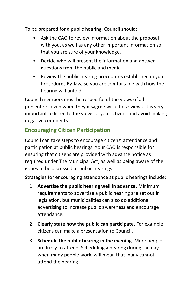To be prepared for a public hearing, Council should:

- Ask the CAO to review information about the proposal with you, as well as any other important information so that you are sure of your knowledge.
- Decide who will present the information and answer questions from the public and media.
- Review the public hearing procedures established in your Procedures By-law, so you are comfortable with how the hearing will unfold.

Council members must be respectful of the views of all presenters, even when they disagree with those views. It is very important to listen to the views of your citizens and avoid making negative comments.

### **Encouraging Citizen Participation**

Council can take steps to encourage citizens' attendance and participation at public hearings. Your CAO is responsible for ensuring that citizens are provided with advance notice as required under The Municipal Act, as well as being aware of the issues to be discussed at public hearings.

Strategies for encouraging attendance at public hearings include:

- 1. **Advertise the public hearing well in advance.** Minimum requirements to advertise a public hearing are set out in legislation, but municipalities can also do additional advertising to increase public awareness and encourage attendance.
- 2. **Clearly state how the public can participate.** For example, citizens can make a presentation to Council.
- 3. **Schedule the public hearing in the evening.** More people are likely to attend. Scheduling a hearing during the day, when many people work, will mean that many cannot attend the hearing.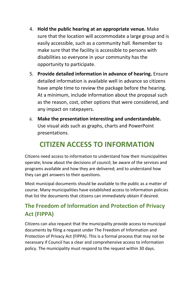- 4. **Hold the public hearing at an appropriate venue.** Make sure that the location will accommodate a large group and is easily accessible, such as a community hall. Remember to make sure that the facility is accessible to persons with disabilities so everyone in your community has the opportunity to participate.
- 5. **Provide detailed information in advance of hearing.** Ensure detailed information is available well in advance so citizens have ample time to review the package before the hearing. At a minimum, include information about the proposal such as the reason, cost, other options that were considered, and any impact on ratepayers.
- 6. **Make the presentation interesting and understandable.** Use visual aids such as graphs, charts and PowerPoint presentations.

## **CITIZEN ACCESS TO INFORMATION**

Citizens need access to information to understand how their municipalities operate; know about the decisions of council; be aware of the services and programs available and how they are delivered; and to understand how they can get answers to their questions.

Most municipal documents should be available to the public as a matter of course. Many municipalities have established access to information policies that list the documents that citizens can immediately obtain if desired.

### **The Freedom of Information and Protection of Privacy Act (FIPPA)**

Citizens can also request that the municipality provide access to municipal documents by filing a request under The Freedom of Information and Protection of Privacy Act (FIPPA). This is a formal process that may not be necessary if Council has a clear and comprehensive access to information policy. The municipality must respond to the request within 30 days.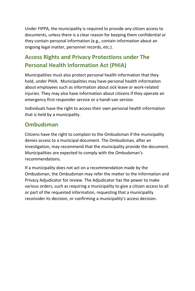Under FIPPA, the municipality is required to provide any citizen access to documents, unless there is a clear reason for keeping them confidential or they contain personal information (e.g., contain information about an ongoing legal matter, personnel records, etc.).

### **Access Rights and Privacy Protections under The Personal Health Information Act (PHIA)**

Municipalities must also protect personal health information that they hold, under PHIA. Municipalities may have personal health information about employees such as information about sick leave or work-related injuries. They may also have information about citizens if they operate an emergency first-responder service or a handi-van service.

Individuals have the right to access their own personal health information that is held by a municipality.

#### **Ombudsman**

Citizens have the right to complain to the Ombudsman if the municipality denies access to a municipal document. The Ombudsman, after an investigation, may recommend that the municipality provide the document. Municipalities are expected to comply with the Ombudsman's recommendations.

If a municipality does not act on a recommendation made by the Ombudsman, the Ombudsman may refer the matter to the Information and Privacy Adjudicator for review. The Adjudicator has the power to make various orders, such as requiring a municipality to give a citizen access to all or part of the requested information, requesting that a municipality reconsider its decision, or confirming a municipality's access decision.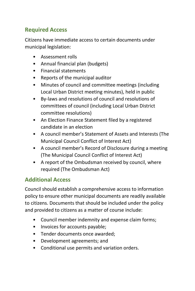#### **Required Access**

Citizens have immediate access to certain documents under municipal legislation:

- Assessment rolls
- Annual financial plan (budgets)
- Financial statements
- Reports of the municipal auditor
- Minutes of council and committee meetings (including Local Urban District meeting minutes), held in public
- By-laws and resolutions of council and resolutions of committees of council (including Local Urban District committee resolutions)
- An Election Finance Statement filed by a registered candidate in an election
- A council member's Statement of Assets and Interests (The Municipal Council Conflict of Interest Act)
- A council member's Record of Disclosure during a meeting (The Municipal Council Conflict of Interest Act)
- A report of the Ombudsman received by council, where required (The Ombudsman Act)

#### **Additional Access**

Council should establish a comprehensive access to information policy to ensure other municipal documents are readily available to citizens. Documents that should be included under the policy and provided to citizens as a matter of course include:

- Council member indemnity and expense claim forms;
- Invoices for accounts payable;
- Tender documents once awarded;
- Development agreements; and
- Conditional use permits and variation orders.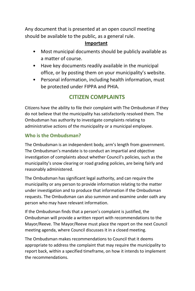Any document that is presented at an open council meeting should be available to the public, as a general rule.

#### **Important**

- Most municipal documents should be publicly available as a matter of course.
- Have key documents readily available in the municipal office, or by posting them on your municipality's website.
- Personal information, including health information, must be protected under FIPPA and PHIA.

### **CITIZEN COMPLAINTS**

Citizens have the ability to file their complaint with The Ombudsman if they do not believe that the municipality has satisfactorily resolved them. The Ombudsman has authority to investigate complaints relating to administrative actions of the municipality or a municipal employee.

#### **Who is the Ombudsman?**

The Ombudsman is an independent body, arm's length from government. The Ombudsman's mandate is to conduct an impartial and objective investigation of complaints about whether Council's policies, such as the municipality's snow clearing or road grading policies, are being fairly and reasonably administered.

The Ombudsman has significant legal authority, and can require the municipality or any person to provide information relating to the matter under investigation and to produce that information if the Ombudsman requests. The Ombudsman can also summon and examine under oath any person who may have relevant information.

If the Ombudsman finds that a person's complaint is justified, the Ombudsman will provide a written report with recommendations to the Mayor/Reeve. The Mayor/Reeve must place the report on the next Council meeting agenda, where Council discusses it in a closed meeting.

The Ombudsman makes recommendations to Council that it deems appropriate to address the complaint that may require the municipality to report back, within a specified timeframe, on how it intends to implement the recommendations.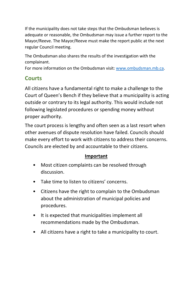If the municipality does not take steps that the Ombudsman believes is adequate or reasonable, the Ombudsman may issue a further report to the Mayor/Reeve. The Mayor/Reeve must make the report public at the next regular Council meeting.

The Ombudsman also shares the results of the investigation with the complainant.

For more information on the Ombudsman visit[: www.ombudsman.mb.ca.](http://www.ombudsman.mb.ca/)

## **Courts**

All citizens have a fundamental right to make a challenge to the Court of Queen's Bench if they believe that a municipality is acting outside or contrary to its legal authority. This would include not following legislated procedures or spending money without proper authority.

The court process is lengthy and often seen as a last resort when other avenues of dispute resolution have failed. Councils should make every effort to work with citizens to address their concerns. Councils are elected by and accountable to their citizens.

## **Important**

- Most citizen complaints can be resolved through discussion.
- Take time to listen to citizens' concerns.
- Citizens have the right to complain to the Ombudsman about the administration of municipal policies and procedures.
- It is expected that municipalities implement all recommendations made by the Ombudsman.
- All citizens have a right to take a municipality to court.